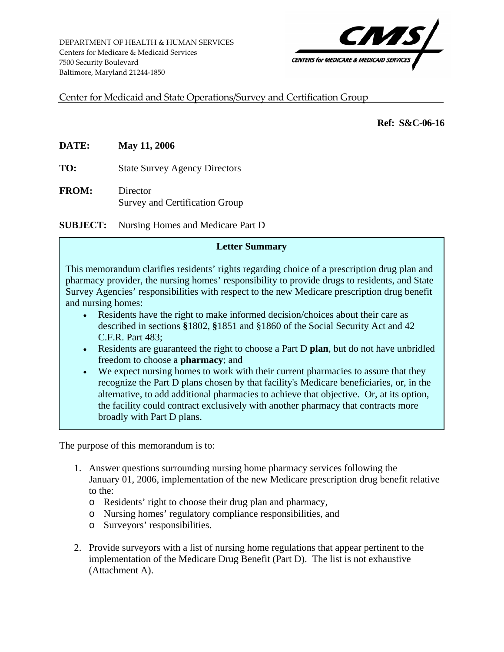

<span id="page-0-0"></span>Center for Medicaid and State Operations/Survey and Certification Group

 **Ref: S&C-06-16** 

**DATE: May 11, 2006**

**TO:** State Survey Agency Directors

**FROM:** Director Survey and Certification Group

**SUBJECT:** Nursing Homes and Medicare Part D

#### **Letter Summary**

This memorandum clarifies residents' rights regarding choice of a prescription drug plan and pharmacy provider, the nursing homes' responsibility to provide drugs to residents, and State Survey Agencies' responsibilities with respect to the new Medicare prescription drug benefit and nursing homes:

- Residents have the right to make informed decision/choices about their care as described in sections **§**1802, **§**1851 and §1860 of the Social Security Act and 42 C.F.R. Part 483;
- Residents are guaranteed the right to choose a Part D **plan**, but do not have unbridled freedom to choose a **pharmacy**; and
- We expect nursing homes to work with their current pharmacies to assure that they recognize the Part D plans chosen by that facility's Medicare beneficiaries, or, in the alternative, to add additional pharmacies to achieve that objective. Or, at its option, the facility could contract exclusively with another pharmacy that contracts more broadly with Part D plans.

The purpose of this memorandum is to:

- 1. Answer questions surrounding nursing home pharmacy services following the January 01, 2006, implementation of the new Medicare prescription drug benefit relative to the:
	- o Residents' right to choose their drug plan and pharmacy,
	- o Nursing homes' regulatory compliance responsibilities, and
	- o Surveyors' responsibilities.
- 2. Provide surveyors with a list of nursing home regulations that appear pertinent to the implementation of the Medicare Drug Benefit (Part D). The list is not exhaustive (Attachment A).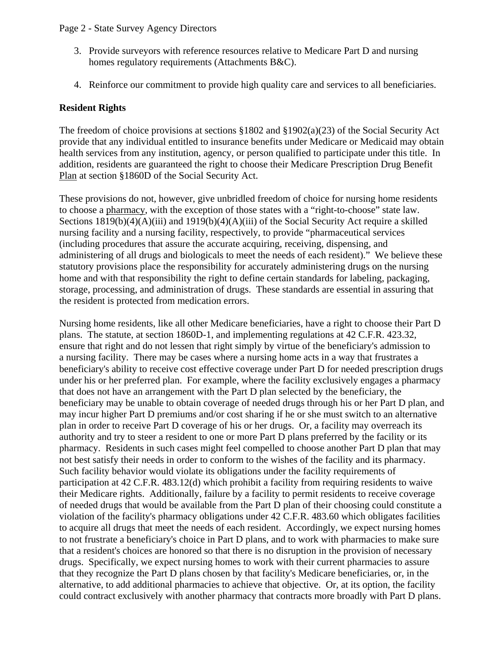- 3. Provide surveyors with reference resources relative to Medicare Part D and nursing homes regulatory requirements (Attachments B&C).
- 4. Reinforce our commitment to provide high quality care and services to all beneficiaries.

### **Resident Rights**

The freedom of choice provisions at sections  $\S 1802$  and  $\S 1902(a)(23)$  of the Social Security Act provide that any individual entitled to insurance benefits under Medicare or Medicaid may obtain health services from any institution, agency, or person qualified to participate under this title. In addition, residents are guaranteed the right to choose their Medicare Prescription Drug Benefit Plan at section §1860D of the Social Security Act.

These provisions do not, however, give unbridled freedom of choice for nursing home residents to choose a pharmacy, with the exception of those states with a "right-to-choose" state law. Sections 1819(b)(4)(A)(iii) and 1919(b)(4)(A)(iii) of the Social Security Act require a skilled nursing facility and a nursing facility, respectively, to provide "pharmaceutical services (including procedures that assure the accurate acquiring, receiving, dispensing, and administering of all drugs and biologicals to meet the needs of each resident)." We believe these statutory provisions place the responsibility for accurately administering drugs on the nursing home and with that responsibility the right to define certain standards for labeling, packaging, storage, processing, and administration of drugs. These standards are essential in assuring that the resident is protected from medication errors.

Nursing home residents, like all other Medicare beneficiaries, have a right to choose their Part D plans. The statute, at section 1860D-1, and implementing regulations at 42 C.F.R. 423.32, ensure that right and do not lessen that right simply by virtue of the beneficiary's admission to a nursing facility. There may be cases where a nursing home acts in a way that frustrates a beneficiary's ability to receive cost effective coverage under Part D for needed prescription drugs under his or her preferred plan. For example, where the facility exclusively engages a pharmacy that does not have an arrangement with the Part D plan selected by the beneficiary, the beneficiary may be unable to obtain coverage of needed drugs through his or her Part D plan, and may incur higher Part D premiums and/or cost sharing if he or she must switch to an alternative plan in order to receive Part D coverage of his or her drugs. Or, a facility may overreach its authority and try to steer a resident to one or more Part D plans preferred by the facility or its pharmacy. Residents in such cases might feel compelled to choose another Part D plan that may not best satisfy their needs in order to conform to the wishes of the facility and its pharmacy. Such facility behavior would violate its obligations under the facility requirements of participation at 42 C.F.R. 483.12(d) which prohibit a facility from requiring residents to waive their Medicare rights. Additionally, failure by a facility to permit residents to receive coverage of needed drugs that would be available from the Part D plan of their choosing could constitute a violation of the facility's pharmacy obligations under 42 C.F.R. 483.60 which obligates facilities to acquire all drugs that meet the needs of each resident. Accordingly, we expect nursing homes to not frustrate a beneficiary's choice in Part D plans, and to work with pharmacies to make sure that a resident's choices are honored so that there is no disruption in the provision of necessary drugs. Specifically, we expect nursing homes to work with their current pharmacies to assure that they recognize the Part D plans chosen by that facility's Medicare beneficiaries, or, in the alternative, to add additional pharmacies to achieve that objective. Or, at its option, the facility could contract exclusively with another pharmacy that contracts more broadly with Part D plans.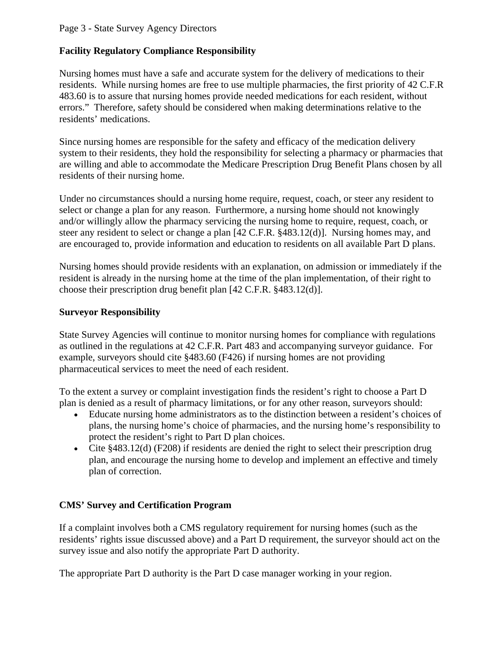#### Page 3 - State Survey Agency Directors

#### **Facility Regulatory Compliance Responsibility**

Nursing homes must have a safe and accurate system for the delivery of medications to their residents. While nursing homes are free to use multiple pharmacies, the first priority of 42 C.F.R 483.60 is to assure that nursing homes provide needed medications for each resident, without errors." Therefore, safety should be considered when making determinations relative to the residents' medications.

Since nursing homes are responsible for the safety and efficacy of the medication delivery system to their residents, they hold the responsibility for selecting a pharmacy or pharmacies that are willing and able to accommodate the Medicare Prescription Drug Benefit Plans chosen by all residents of their nursing home.

Under no circumstances should a nursing home require, request, coach, or steer any resident to select or change a plan for any reason. Furthermore, a nursing home should not knowingly and/or willingly allow the pharmacy servicing the nursing home to require, request, coach, or steer any resident to select or change a plan [42 C.F.R. §483.12(d)]. Nursing homes may, and are encouraged to, provide information and education to residents on all available Part D plans.

Nursing homes should provide residents with an explanation, on admission or immediately if the resident is already in the nursing home at the time of the plan implementation, of their right to choose their prescription drug benefit plan [42 C.F.R. §483.12(d)].

#### **Surveyor Responsibility**

State Survey Agencies will continue to monitor nursing homes for compliance with regulations as outlined in the regulations at 42 C.F.R. Part 483 and accompanying surveyor guidance. For example, surveyors should cite §483.60 (F426) if nursing homes are not providing pharmaceutical services to meet the need of each resident.

To the extent a survey or complaint investigation finds the resident's right to choose a Part D plan is denied as a result of pharmacy limitations, or for any other reason, surveyors should:

- Educate nursing home administrators as to the distinction between a resident's choices of plans, the nursing home's choice of pharmacies, and the nursing home's responsibility to protect the resident's right to Part D plan choices.
- Cite §483.12(d) (F208) if residents are denied the right to select their prescription drug plan, and encourage the nursing home to develop and implement an effective and timely plan of correction.

### **CMS' Survey and Certification Program**

If a complaint involves both a CMS regulatory requirement for nursing homes (such as the residents' rights issue discussed above) and a Part D requirement, the surveyor should act on the survey issue and also notify the appropriate Part D authority.

The appropriate Part D authority is the Part D case manager working in your region.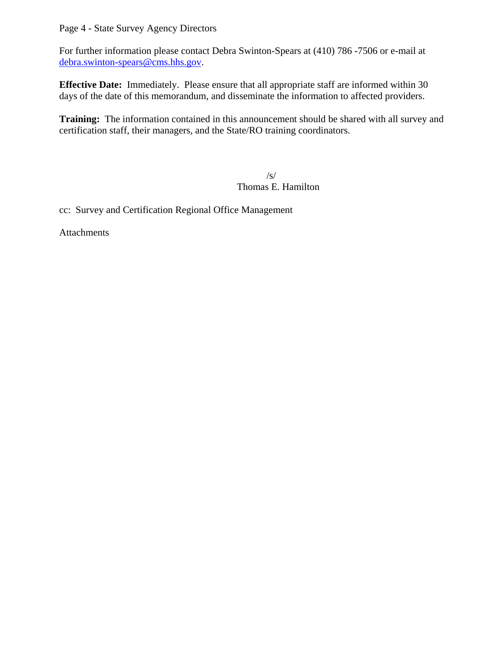## Page 4 - State Survey Agency Directors

For further information please contact Debra Swinton-Spears at (410) 786 -7506 or e-mail at [debra.swinton-spears@cms.hhs.gov.](mailto:debra.swinton-spears@cms.hhs.gov)

**Effective Date:** Immediately. Please ensure that all appropriate staff are informed within 30 days of the date of this memorandum, and disseminate the information to affected providers.

**Training:** The information contained in this announcement should be shared with all survey and certification staff, their managers, and the State/RO training coordinators.

 $\sqrt{s/2}$ Thomas E. Hamilton

cc: Survey and Certification Regional Office Management

Attachments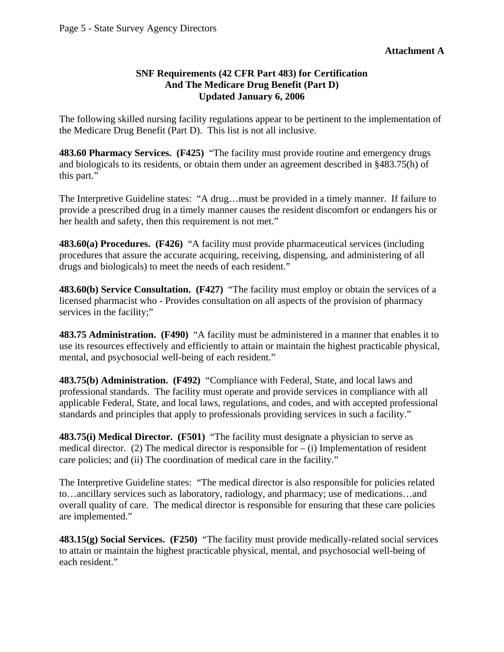#### **SNF Requirements (42 CFR Part 483) for Certification And The Medicare Drug Benefit (Part D) Updated January 6, 2006**

The following skilled nursing facility regulations appear to be pertinent to the implementation of the Medicare Drug Benefit (Part D). This list is not all inclusive.

**483.60 Pharmacy Services. (F425)** "The facility must provide routine and emergency drugs and biologicals to its residents, or obtain them under an agreement described in §483.75(h) of this part."

The Interpretive Guideline states: "A drug…must be provided in a timely manner. If failure to provide a prescribed drug in a timely manner causes the resident discomfort or endangers his or her health and safety, then this requirement is not met."

**483.60(a) Procedures. (F426)** "A facility must provide pharmaceutical services (including procedures that assure the accurate acquiring, receiving, dispensing, and administering of all drugs and biologicals) to meet the needs of each resident."

**483.60(b) Service Consultation. (F427)** "The facility must employ or obtain the services of a licensed pharmacist who - Provides consultation on all aspects of the provision of pharmacy services in the facility;"

**483.75 Administration. (F490)** "A facility must be administered in a manner that enables it to use its resources effectively and efficiently to attain or maintain the highest practicable physical, mental, and psychosocial well-being of each resident."

**483.75(b) Administration. (F492)** "Compliance with Federal, State, and local laws and professional standards. The facility must operate and provide services in compliance with all applicable Federal, State, and local laws, regulations, and codes, and with accepted professional standards and principles that apply to professionals providing services in such a facility."

**483.75(i) Medical Director. (F501)** "The facility must designate a physician to serve as medical director. (2) The medical director is responsible for  $-$  (i) Implementation of resident care policies; and (ii) The coordination of medical care in the facility."

The Interpretive Guideline states: "The medical director is also responsible for policies related to…ancillary services such as laboratory, radiology, and pharmacy; use of medications…and overall quality of care. The medical director is responsible for ensuring that these care policies are implemented."

**483.15(g) Social Services. (F250)** "The facility must provide medically-related social services to attain or maintain the highest practicable physical, mental, and psychosocial well-being of each resident."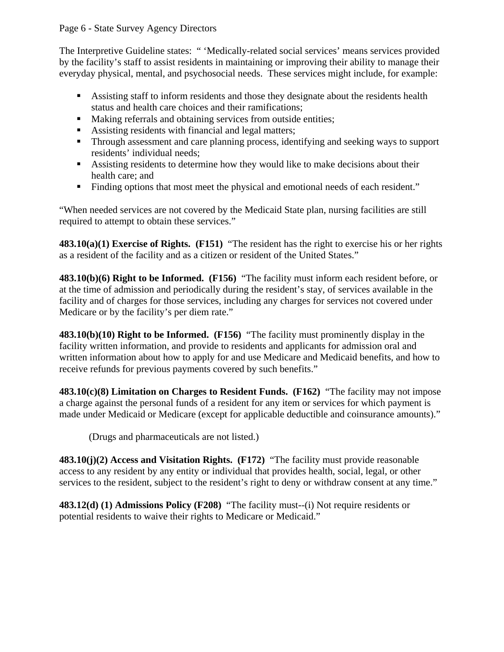#### Page 6 - State Survey Agency Directors

The Interpretive Guideline states: " 'Medically-related social services' means services provided by the facility's staff to assist residents in maintaining or improving their ability to manage their everyday physical, mental, and psychosocial needs. These services might include, for example:

- Assisting staff to inform residents and those they designate about the residents health status and health care choices and their ramifications;
- Making referrals and obtaining services from outside entities;
- Assisting residents with financial and legal matters;
- **Through assessment and care planning process, identifying and seeking ways to support** residents' individual needs;
- Assisting residents to determine how they would like to make decisions about their health care; and
- Finding options that most meet the physical and emotional needs of each resident."

"When needed services are not covered by the Medicaid State plan, nursing facilities are still required to attempt to obtain these services."

**483.10(a)(1) Exercise of Rights. (F151)** "The resident has the right to exercise his or her rights as a resident of the facility and as a citizen or resident of the United States."

**483.10(b)(6) Right to be Informed. (F156)** "The facility must inform each resident before, or at the time of admission and periodically during the resident's stay, of services available in the facility and of charges for those services, including any charges for services not covered under Medicare or by the facility's per diem rate."

**483.10(b)(10) Right to be Informed. (F156)** "The facility must prominently display in the facility written information, and provide to residents and applicants for admission oral and written information about how to apply for and use Medicare and Medicaid benefits, and how to receive refunds for previous payments covered by such benefits."

**483.10(c)(8) Limitation on Charges to Resident Funds. (F162)** "The facility may not impose a charge against the personal funds of a resident for any item or services for which payment is made under Medicaid or Medicare (except for applicable deductible and coinsurance amounts)."

(Drugs and pharmaceuticals are not listed.)

**483.10(j)(2) Access and Visitation Rights. (F172)** "The facility must provide reasonable access to any resident by any entity or individual that provides health, social, legal, or other services to the resident, subject to the resident's right to deny or withdraw consent at any time."

**483.12(d) (1) Admissions Policy (F208)** "The facility must--(i) Not require residents or potential residents to waive their rights to Medicare or Medicaid."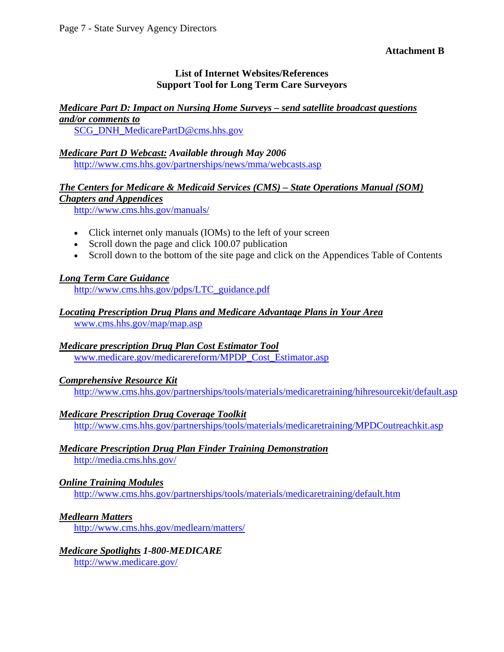**Attachment B** 

## **List of Internet Websites/References Support Tool for Long Term Care Surveyors**

# *Medicare Part D: Impact on Nursing Home Surveys – send satellite broadcast questions*

*and/or comments to* [SCG\\_DNH\\_MedicarePartD@cms.hhs.gov](mailto:SCG_DNH_MedicarePartD@cms.hhs.gov) 

#### *Medicare Part D Webcast: Available through May 2006*  <http://www.cms.hhs.gov/partnerships/news/mma/webcasts.asp>

# *The Centers for Medicare & Medicaid Services (CMS) – State Operations Manual (SOM) Chapters and Appendices*

<http://www.cms.hhs.gov/manuals/>

- Click internet only manuals (IOMs) to the left of your screen
- Scroll down the page and click 100.07 publication
- Scroll down to the bottom of the site page and click on the Appendices Table of Contents

# *Long Term Care Guidance*

[http://www.cms.hhs.gov/pdps/LTC\\_guidance.pdf](http://www.cms.hhs.gov/pdps/LTC_guidance.pdf)

# *Locating Prescription Drug Plans and Medicare Advantage Plans in Your Area*

[www.cms.hhs.gov/map/map.asp](http://www.cms.hhs.gov/map/map.asp)

# *Medicare prescription Drug Plan Cost Estimator Tool*

[www.medicare.gov/medicarereform/MPDP\\_Cost\\_Estimator.asp](http://www.medicare.gov/medicarereform/MPDP_Cost_Estimator.asp)

# *Comprehensive Resource Kit*

<http://www.cms.hhs.gov/partnerships/tools/materials/medicaretraining/hihresourcekit/default.asp>

# *Medicare Prescription Drug Coverage Toolkit*

<http://www.cms.hhs.gov/partnerships/tools/materials/medicaretraining/MPDCoutreachkit.asp>

# *Medicare Prescription Drug Plan Finder Training Demonstration*

<http://media.cms.hhs.gov/>

# *Online Training Modules*

<http://www.cms.hhs.gov/partnerships/tools/materials/medicaretraining/default.htm>

# *Medlearn Matters*

<http://www.cms.hhs.gov/medlearn/matters/>

#### *Medicare Spotlights 1-800-MEDICARE* <http://www.medicare.gov/>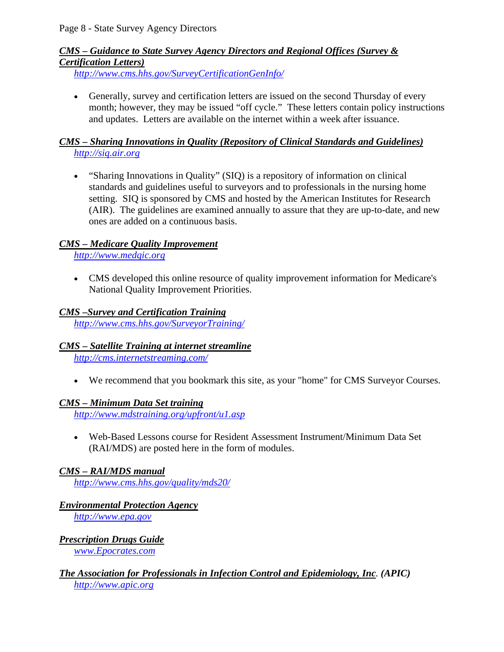# *CMS – Guidance to State Survey Agency Directors and Regional Offices (Survey & Certification Letters)*

*<http://www.cms.hhs.gov/SurveyCertificationGenInfo/>*

• Generally, survey and certification letters are issued on the second Thursday of every month; however, they may be issued "off cycle." These letters contain policy instructions and updates. Letters are available on the internet within a week after issuance.

## *CMS – Sharing Innovations in Quality (Repository of Clinical Standards and Guidelines)* *[http://siq.air.org](http://siq.air.org/)*

• "Sharing Innovations in Quality" (SIQ) is a repository of information on clinical standards and guidelines useful to surveyors and to professionals in the nursing home setting. SIQ is sponsored by CMS and hosted by the American Institutes for Research (AIR). The guidelines are examined annually to assure that they are up-to-date, and new ones are added on a continuous basis.

# *CMS – Medicare Quality Improvement*

*[http://www.medqic.org](http://www.medqic.org/)*

• CMS developed this online resource of quality improvement information for Medicare's National Quality Improvement Priorities.

# *CMS –Survey and Certification Training*

*<http://www.cms.hhs.gov/SurveyorTraining/>*

#### *CMS – Satellite Training at internet streamline* *<http://cms.internetstreaming.com/>*

• We recommend that you bookmark this site, as your "home" for CMS Surveyor Courses.

# *CMS – Minimum Data Set training*

*<http://www.mdstraining.org/upfront/u1.asp>*

• Web-Based Lessons course for Resident Assessment Instrument/Minimum Data Set (RAI/MDS) are posted here in the form of modules.

# *CMS – RAI/MDS manual*

*<http://www.cms.hhs.gov/quality/mds20/>*

# *Environmental Protection Agency*

*[http://www.epa.gov](http://www.epa.gov/)*

*Prescription Drugs Guide* *[www.Epocrates.com](http://www.epocrates.com/)*

## *The Association for Professionals in Infection Control and Epidemiology, Inc. (APIC) [http://www.apic.org](http://www.apic.org/)*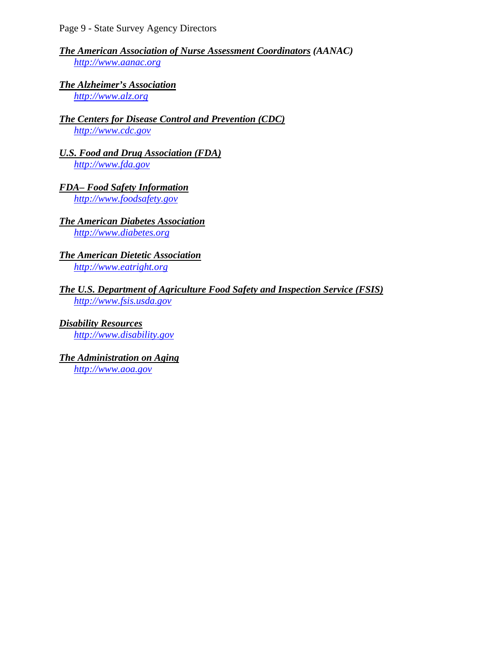### *The American Association of Nurse Assessment Coordinators (AANAC)* *[http://www.aanac.org](http://www.aanac.org/)*

#### *The Alzheimer's Association* *[http://www.alz.org](http://www.alz.org/)*

### *The Centers for Disease Control and Prevention (CDC) [http://www.cdc.gov](http://www.cdc.gov/)*

- *U.S. Food and Drug Association (FDA)* *[http://www.fda.gov](http://www.fda.gov/)*
- *FDA– Food Safety Information* *[http://www.foodsafety.gov](http://www.foodsafety.gov/)*

### *The American Diabetes Association* *[http://www.diabetes.org](http://www.diabetes.org/)*

#### *The American Dietetic Association* *[http://www.eatright.org](http://www.eatright.org/)*

#### *The U.S. Department of Agriculture Food Safety and Inspection Service (FSIS) [http://www.fsis.usda.gov](http://www.fsis.usda.gov/)*

*Disability Resources* *[http://www.disability.gov](http://www.disability.gov/)*

# *The Administration on Aging*

*[http://www.aoa.gov](http://www.aoa.gov/)*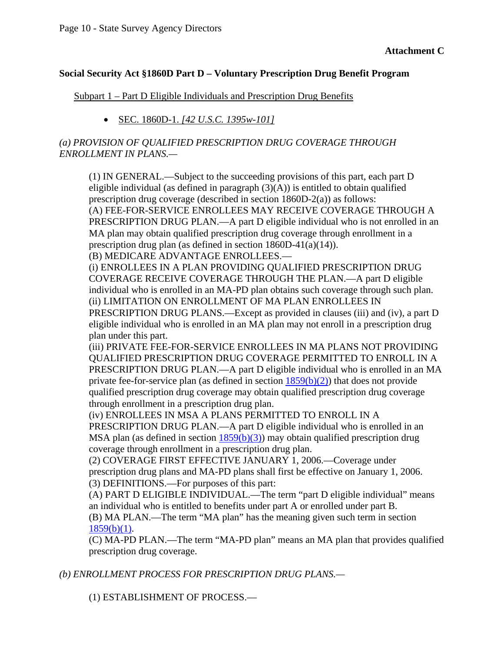#### **Social Security Act §1860D Part D – Voluntary Prescription Drug Benefit Program**

#### Subpart 1 – Part D Eligible Individuals and Prescription Drug Benefits

• SEC. 1860D-1. *[42 U.S.C. 1395w-101]*

### *(a) PROVISION OF QUALIFIED PRESCRIPTION DRUG COVERAGE THROUGH ENROLLMENT IN PLANS.—*

(1) IN GENERAL.—Subject to the succeeding provisions of this part, each part D eligible individual (as defined in paragraph  $(3)(A)$ ) is entitled to obtain qualified prescription drug coverage (described in section 1860D-2(a)) as follows: (A) FEE-FOR-SERVICE ENROLLEES MAY RECEIVE COVERAGE THROUGH A PRESCRIPTION DRUG PLAN.—A part D eligible individual who is not enrolled in an MA plan may obtain qualified prescription drug coverage through enrollment in a prescription drug plan (as defined in section 1860D-41(a)(14)).

(B) MEDICARE ADVANTAGE ENROLLEES.—

(i) ENROLLEES IN A PLAN PROVIDING QUALIFIED PRESCRIPTION DRUG COVERAGE RECEIVE COVERAGE THROUGH THE PLAN.—A part D eligible individual who is enrolled in an MA-PD plan obtains such coverage through such plan. (ii) LIMITATION ON ENROLLMENT OF MA PLAN ENROLLEES IN PRESCRIPTION DRUG PLANS.—Except as provided in clauses (iii) and (iv), a part D eligible individual who is enrolled in an MA plan may not enroll in a prescription drug plan under this part.

(iii) PRIVATE FEE-FOR-SERVICE ENROLLEES IN MA PLANS NOT PROVIDING QUALIFIED PRESCRIPTION DRUG COVERAGE PERMITTED TO ENROLL IN A PRESCRIPTION DRUG PLAN.—A part D eligible individual who is enrolled in an MA private fee-for-service plan (as defined in section  $1859(b)(2)$ ) that does not provide qualified prescription drug coverage may obtain qualified prescription drug coverage through enrollment in a prescription drug plan.

(iv) ENROLLEES IN MSA A PLANS PERMITTED TO ENROLL IN A PRESCRIPTION DRUG PLAN.—A part D eligible individual who is enrolled in an MSA plan (as defined in section  $1859(b)(3)$ ) may obtain qualified prescription drug coverage through enrollment in a prescription drug plan.

(2) COVERAGE FIRST EFFECTIVE JANUARY 1, 2006.—Coverage under prescription drug plans and MA-PD plans shall first be effective on January 1, 2006. (3) DEFINITIONS.—For purposes of this part:

(A) PART D ELIGIBLE INDIVIDUAL.—The term "part D eligible individual" means an individual who is entitled to benefits under part A or enrolled under part B. (B) MA PLAN.—The term "MA plan" has the meaning given such term in section

 $1859(b)(1)$ .

(C) MA-PD PLAN.—The term "MA-PD plan" means an MA plan that provides qualified prescription drug coverage.

*(b) ENROLLMENT PROCESS FOR PRESCRIPTION DRUG PLANS.—* 

(1) ESTABLISHMENT OF PROCESS.—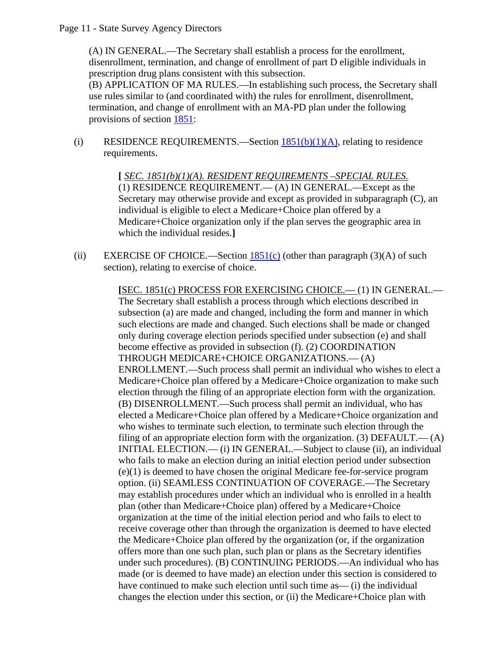Page 11 - State Survey Agency Directors

(A) IN GENERAL.—The Secretary shall establish a process for the enrollment, disenrollment, termination, and change of enrollment of part D eligible individuals in prescription drug plans consistent with this subsection.

(B) APPLICATION OF MA RULES.—In establishing such process, the Secretary shall use rules similar to (and coordinated with) the rules for enrollment, disenrollment, termination, and change of enrollment with an MA-PD plan under the following provisions of section [1851:](http://www.ssa.gov/OP_Home/ssact/title18/1851.htm)

(i) RESIDENCE REQUIREMENTS.—Section  $1851(b)(1)(A)$ , relating to residence requirements.

> **[** *SEC. 1851(b)(1)(A). RESIDENT REQUIREMENTS –SPECIAL RULES.* (1) RESIDENCE REQUIREMENT.— (A) IN GENERAL.—Except as the Secretary may otherwise provide and except as provided in subparagraph (C), an individual is eligible to elect a Medicare+Choice plan offered by a Medicare+Choice organization only if the plan serves the geographic area in which the individual resides.**]**

(ii) EXERCISE OF CHOICE.—Section  $1851(c)$  (other than paragraph (3)(A) of such section), relating to exercise of choice.

> **[**SEC. 1851(c) PROCESS FOR EXERCISING CHOICE.— (1) IN GENERAL.— The Secretary shall establish a process through which elections described in subsection (a) are made and changed, including the form and manner in which such elections are made and changed. Such elections shall be made or changed only during coverage election periods specified under subsection (e) and shall become effective as provided in subsection (f). (2) COORDINATION THROUGH MEDICARE+CHOICE ORGANIZATIONS.— (A) ENROLLMENT.—Such process shall permit an individual who wishes to elect a Medicare+Choice plan offered by a Medicare+Choice organization to make such election through the filing of an appropriate election form with the organization. (B) DISENROLLMENT.—Such process shall permit an individual, who has elected a Medicare+Choice plan offered by a Medicare+Choice organization and who wishes to terminate such election, to terminate such election through the filing of an appropriate election form with the organization. (3)  $DEFALIT. — (A)$ INITIAL ELECTION.— (i) IN GENERAL.—Subject to clause (ii), an individual who fails to make an election during an initial election period under subsection (e)(1) is deemed to have chosen the original Medicare fee-for-service program option. (ii) SEAMLESS CONTINUATION OF COVERAGE.—The Secretary may establish procedures under which an individual who is enrolled in a health plan (other than Medicare+Choice plan) offered by a Medicare+Choice organization at the time of the initial election period and who fails to elect to receive coverage other than through the organization is deemed to have elected the Medicare+Choice plan offered by the organization (or, if the organization offers more than one such plan, such plan or plans as the Secretary identifies under such procedures). (B) CONTINUING PERIODS.—An individual who has made (or is deemed to have made) an election under this section is considered to have continued to make such election until such time as— (i) the individual changes the election under this section, or (ii) the Medicare+Choice plan with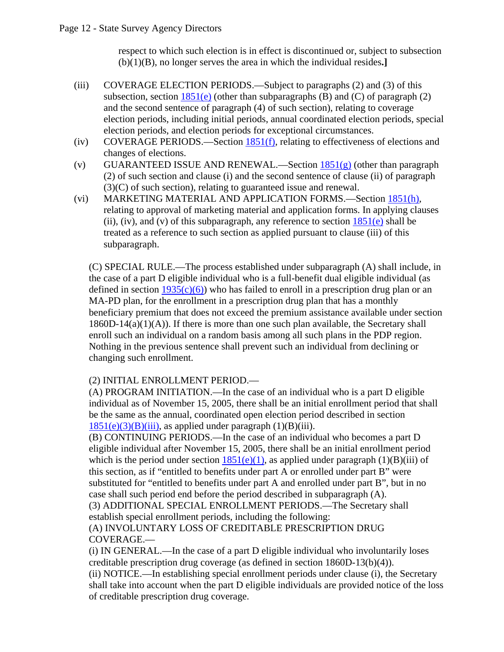respect to which such election is in effect is discontinued or, subject to subsection (b)(1)(B), no longer serves the area in which the individual resides**.]**

- (iii) COVERAGE ELECTION PERIODS.—Subject to paragraphs (2) and (3) of this subsection, section  $1851(e)$  (other than subparagraphs (B) and (C) of paragraph (2) and the second sentence of paragraph (4) of such section), relating to coverage election periods, including initial periods, annual coordinated election periods, special election periods, and election periods for exceptional circumstances.
- (iv) COVERAGE PERIODS.—Section 1851(f), relating to effectiveness of elections and changes of elections.
- (v) GUARANTEED ISSUE AND RENEWAL.—Section  $\frac{1851(g)}{g}$  (other than paragraph (2) of such section and clause (i) and the second sentence of clause (ii) of paragraph (3)(C) of such section), relating to guaranteed issue and renewal.
- (vi) MARKETING MATERIAL AND APPLICATION FORMS.—Section 1851(h), relating to approval of marketing material and application forms. In applying clauses (ii), (iv), and (v) of this subparagraph, any reference to section  $1851(e)$  shall be treated as a reference to such section as applied pursuant to clause (iii) of this subparagraph.

(C) SPECIAL RULE.—The process established under subparagraph (A) shall include, in the case of a part D eligible individual who is a full-benefit dual eligible individual (as defined in section  $1935(c)(6)$ ) who has failed to enroll in a prescription drug plan or an MA-PD plan, for the enrollment in a prescription drug plan that has a monthly beneficiary premium that does not exceed the premium assistance available under section  $1860D-14(a)(1)(A)$ . If there is more than one such plan available, the Secretary shall enroll such an individual on a random basis among all such plans in the PDP region. Nothing in the previous sentence shall prevent such an individual from declining or changing such enrollment.

### (2) INITIAL ENROLLMENT PERIOD.—

(A) PROGRAM INITIATION.—In the case of an individual who is a part D eligible individual as of November 15, 2005, there shall be an initial enrollment period that shall be the same as the annual, coordinated open election period described in section  $1851(e)(3)(B)(iii)$ , as applied under paragraph  $(1)(B)(iii)$ .

(B) CONTINUING PERIODS.—In the case of an individual who becomes a part D eligible individual after November 15, 2005, there shall be an initial enrollment period which is the period under section  $1851(e)(1)$ , as applied under paragraph  $(1)(B)(iii)$  of this section, as if "entitled to benefits under part A or enrolled under part B" were substituted for "entitled to benefits under part A and enrolled under part B", but in no case shall such period end before the period described in subparagraph (A).

(3) ADDITIONAL SPECIAL ENROLLMENT PERIODS.—The Secretary shall establish special enrollment periods, including the following:

(A) INVOLUNTARY LOSS OF CREDITABLE PRESCRIPTION DRUG COVERAGE.—

(i) IN GENERAL.—In the case of a part D eligible individual who involuntarily loses creditable prescription drug coverage (as defined in section 1860D-13(b)(4)).

(ii) NOTICE.—In establishing special enrollment periods under clause (i), the Secretary shall take into account when the part D eligible individuals are provided notice of the loss of creditable prescription drug coverage.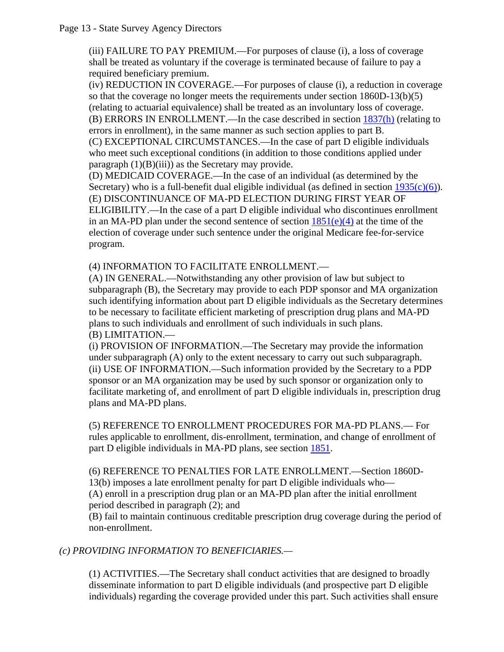#### Page 13 - State Survey Agency Directors

(iii) FAILURE TO PAY PREMIUM.—For purposes of clause (i), a loss of coverage shall be treated as voluntary if the coverage is terminated because of failure to pay a required beneficiary premium.

(iv) REDUCTION IN COVERAGE.—For purposes of clause (i), a reduction in coverage so that the coverage no longer meets the requirements under section 1860D-13(b)(5) (relating to actuarial equivalence) shall be treated as an involuntary loss of coverage. (B) ERRORS IN ENROLLMENT.—In the case described in section 1837(h) (relating to errors in enrollment), in the same manner as such section applies to part B.

(C) EXCEPTIONAL CIRCUMSTANCES.—In the case of part D eligible individuals who meet such exceptional conditions (in addition to those conditions applied under paragraph (1)(B)(iii)) as the Secretary may provide.

(D) MEDICAID COVERAGE.—In the case of an individual (as determined by the Secretary) who is a full-benefit dual eligible individual (as defined in section  $1935(c)(6)$ ). (E) DISCONTINUANCE OF MA-PD ELECTION DURING FIRST YEAR OF ELIGIBILITY.—In the case of a part D eligible individual who discontinues enrollment in an MA-PD plan under the second sentence of section  $1851(e)(4)$  at the time of the election of coverage under such sentence under the original Medicare fee-for-service program.

(4) INFORMATION TO FACILITATE ENROLLMENT.—

(A) IN GENERAL.—Notwithstanding any other provision of law but subject to subparagraph (B), the Secretary may provide to each PDP sponsor and MA organization such identifying information about part D eligible individuals as the Secretary determines to be necessary to facilitate efficient marketing of prescription drug plans and MA-PD plans to such individuals and enrollment of such individuals in such plans. (B) LIMITATION.—

(i) PROVISION OF INFORMATION.—The Secretary may provide the information under subparagraph (A) only to the extent necessary to carry out such subparagraph. (ii) USE OF INFORMATION.—Such information provided by the Secretary to a PDP sponsor or an MA organization may be used by such sponsor or organization only to facilitate marketing of, and enrollment of part D eligible individuals in, prescription drug plans and MA-PD plans.

(5) REFERENCE TO ENROLLMENT PROCEDURES FOR MA-PD PLANS.— For rules applicable to enrollment, dis-enrollment, termination, and change of enrollment of part D eligible individuals in MA-PD plans, see section [1851](http://www.ssa.gov/OP_Home/ssact/title18/1851.htm).

(6) REFERENCE TO PENALTIES FOR LATE ENROLLMENT.—Section 1860D-13(b) imposes a late enrollment penalty for part D eligible individuals who— (A) enroll in a prescription drug plan or an MA-PD plan after the initial enrollment period described in paragraph (2); and

(B) fail to maintain continuous creditable prescription drug coverage during the period of non-enrollment.

# *(c) PROVIDING INFORMATION TO BENEFICIARIES.—*

(1) ACTIVITIES.—The Secretary shall conduct activities that are designed to broadly disseminate information to part D eligible individuals (and prospective part D eligible individuals) regarding the coverage provided under this part. Such activities shall ensure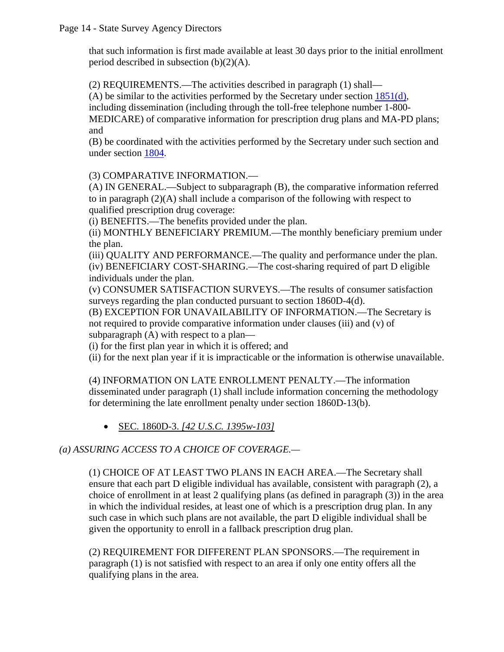that such information is first made available at least 30 days prior to the initial enrollment period described in subsection  $(b)(2)(A)$ .

(2) REQUIREMENTS.—The activities described in paragraph (1) shall—

(A) be similar to the activities performed by the Secretary under section  $1851(d)$ ,

including dissemination (including through the toll-free telephone number 1-800-

MEDICARE) of comparative information for prescription drug plans and MA-PD plans; and

(B) be coordinated with the activities performed by the Secretary under such section and under section [1804](http://www.ssa.gov/OP_Home/ssact/title18/1804.htm).

# (3) COMPARATIVE INFORMATION.—

(A) IN GENERAL.—Subject to subparagraph (B), the comparative information referred to in paragraph  $(2)(A)$  shall include a comparison of the following with respect to qualified prescription drug coverage:

(i) BENEFITS.—The benefits provided under the plan.

(ii) MONTHLY BENEFICIARY PREMIUM.—The monthly beneficiary premium under the plan.

(iii) QUALITY AND PERFORMANCE.—The quality and performance under the plan. (iv) BENEFICIARY COST-SHARING.—The cost-sharing required of part D eligible individuals under the plan.

(v) CONSUMER SATISFACTION SURVEYS.—The results of consumer satisfaction surveys regarding the plan conducted pursuant to section 1860D-4(d).

(B) EXCEPTION FOR UNAVAILABILITY OF INFORMATION.—The Secretary is not required to provide comparative information under clauses (iii) and (v) of subparagraph (A) with respect to a plan—

(i) for the first plan year in which it is offered; and

(ii) for the next plan year if it is impracticable or the information is otherwise unavailable.

(4) INFORMATION ON LATE ENROLLMENT PENALTY.—The information disseminated under paragraph (1) shall include information concerning the methodology for determining the late enrollment penalty under section 1860D-13(b).

• SEC. 1860D-3. *[42 U.S.C. 1395w-103]* 

# *(a) ASSURING ACCESS TO A CHOICE OF COVERAGE.—*

(1) CHOICE OF AT LEAST TWO PLANS IN EACH AREA.—The Secretary shall ensure that each part D eligible individual has available, consistent with paragraph (2), a choice of enrollment in at least 2 qualifying plans (as defined in paragraph (3)) in the area in which the individual resides, at least one of which is a prescription drug plan. In any such case in which such plans are not available, the part D eligible individual shall be given the opportunity to enroll in a fallback prescription drug plan.

(2) REQUIREMENT FOR DIFFERENT PLAN SPONSORS.—The requirement in paragraph (1) is not satisfied with respect to an area if only one entity offers all the qualifying plans in the area.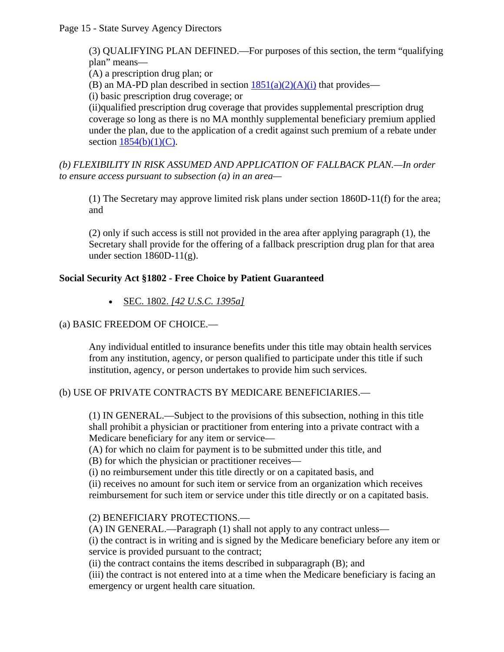Page 15 - State Survey Agency Directors

(3) QUALIFYING PLAN DEFINED.—For purposes of this section, the term "qualifying plan" means—

(A) a prescription drug plan; or

(B) an MA-PD plan described in section  $1851(a)(2)(A)(i)$  that provides—

(i) basic prescription drug coverage; or

(ii)qualified prescription drug coverage that provides supplemental prescription drug coverage so long as there is no MA monthly supplemental beneficiary premium applied under the plan, due to the application of a credit against such premium of a rebate under section  $1854(b)(1)(C)$ .

*(b) FLEXIBILITY IN RISK ASSUMED AND APPLICATION OF FALLBACK PLAN.—In order to ensure access pursuant to subsection (a) in an area—* 

(1) The Secretary may approve limited risk plans under section 1860D-11(f) for the area; and

(2) only if such access is still not provided in the area after applying paragraph (1), the Secretary shall provide for the offering of a fallback prescription drug plan for that area under section  $1860D-11(g)$ .

# **Social Security Act §1802 - Free Choice by Patient Guaranteed**

• SEC. 1802. *[42 U.S.C. 1395a]*

### (a) BASIC FREEDOM OF CHOICE.—

Any individual entitled to insurance benefits under this title may obtain health services from any institution, agency, or person qualified to participate under this title if such institution, agency, or person undertakes to provide him such services.

### (b) USE OF PRIVATE CONTRACTS BY MEDICARE BENEFICIARIES.—

(1) IN GENERAL.—Subject to the provisions of this subsection, nothing in this title shall prohibit a physician or practitioner from entering into a private contract with a Medicare beneficiary for any item or service—

(A) for which no claim for payment is to be submitted under this title, and

(B) for which the physician or practitioner receives—

(i) no reimbursement under this title directly or on a capitated basis, and

(ii) receives no amount for such item or service from an organization which receives reimbursement for such item or service under this title directly or on a capitated basis.

### (2) BENEFICIARY PROTECTIONS.—

(A) IN GENERAL.—Paragraph (1) shall not apply to any contract unless—

(i) the contract is in writing and is signed by the Medicare beneficiary before any item or service is provided pursuant to the contract;

(ii) the contract contains the items described in subparagraph (B); and

(iii) the contract is not entered into at a time when the Medicare beneficiary is facing an emergency or urgent health care situation.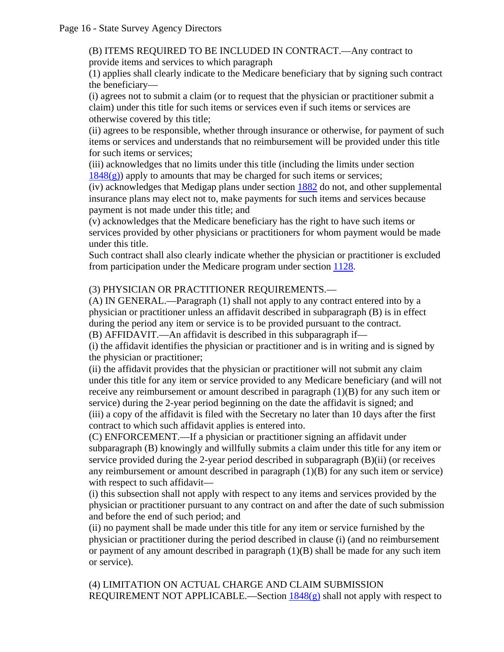(B) ITEMS REQUIRED TO BE INCLUDED IN CONTRACT.—Any contract to provide items and services to which paragraph

(1) applies shall clearly indicate to the Medicare beneficiary that by signing such contract the beneficiary—

(i) agrees not to submit a claim (or to request that the physician or practitioner submit a claim) under this title for such items or services even if such items or services are otherwise covered by this title;

(ii) agrees to be responsible, whether through insurance or otherwise, for payment of such items or services and understands that no reimbursement will be provided under this title for such items or services;

(iii) acknowledges that no limits under this title (including the limits under section  $1848(g)$ ) apply to amounts that may be charged for such items or services;

(iv) acknowledges that Medigap plans under section [1882](http://www.ssa.gov/OP_Home/ssact/title18/1882.htm) do not, and other supplemental insurance plans may elect not to, make payments for such items and services because payment is not made under this title; and

(v) acknowledges that the Medicare beneficiary has the right to have such items or services provided by other physicians or practitioners for whom payment would be made under this title.

Such contract shall also clearly indicate whether the physician or practitioner is excluded from participation under the Medicare program under section [1128](http://www.ssa.gov/OP_Home/ssact/title11/1128.htm).

## (3) PHYSICIAN OR PRACTITIONER REQUIREMENTS.—

(A) IN GENERAL.—Paragraph (1) shall not apply to any contract entered into by a physician or practitioner unless an affidavit described in subparagraph (B) is in effect during the period any item or service is to be provided pursuant to the contract. (B) AFFIDAVIT.—An affidavit is described in this subparagraph if—

(i) the affidavit identifies the physician or practitioner and is in writing and is signed by the physician or practitioner;

(ii) the affidavit provides that the physician or practitioner will not submit any claim under this title for any item or service provided to any Medicare beneficiary (and will not receive any reimbursement or amount described in paragraph (1)(B) for any such item or service) during the 2-year period beginning on the date the affidavit is signed; and (iii) a copy of the affidavit is filed with the Secretary no later than 10 days after the first contract to which such affidavit applies is entered into.

(C) ENFORCEMENT.—If a physician or practitioner signing an affidavit under subparagraph (B) knowingly and willfully submits a claim under this title for any item or service provided during the 2-year period described in subparagraph (B)(ii) (or receives any reimbursement or amount described in paragraph (1)(B) for any such item or service) with respect to such affidavit—

(i) this subsection shall not apply with respect to any items and services provided by the physician or practitioner pursuant to any contract on and after the date of such submission and before the end of such period; and

(ii) no payment shall be made under this title for any item or service furnished by the physician or practitioner during the period described in clause (i) (and no reimbursement or payment of any amount described in paragraph  $(1)(B)$  shall be made for any such item or service).

(4) LIMITATION ON ACTUAL CHARGE AND CLAIM SUBMISSION REQUIREMENT NOT APPLICABLE.—Section  $1848(g)$  shall not apply with respect to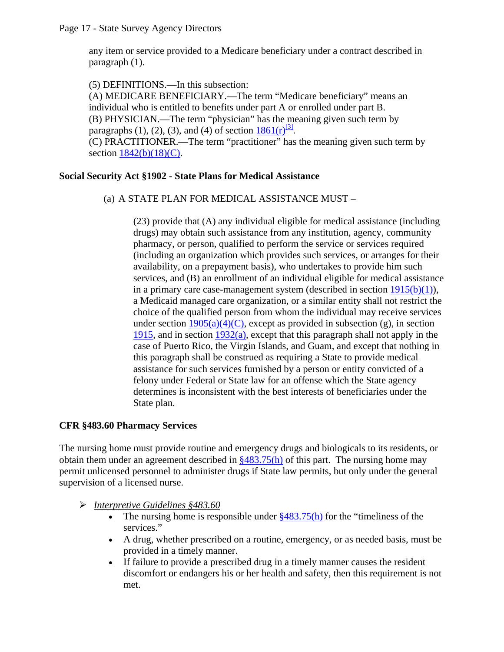any item or service provided to a Medicare beneficiary under a contract described in paragraph (1).

(5) DEFINITIONS.—In this subsection:

(A) MEDICARE BENEFICIARY.—The term "Medicare beneficiary" means an individual who is entitled to benefits under part A or enrolled under part B. (B) PHYSICIAN.—The term "physician" has the meaning given such term by paragraphs (1), (2), (3), and (4) of section  $1861(r)^{31}$ . (C) PRACTITIONER.—The term "practitioner" has the meaning given such term by section  $1842(b)(18)(C)$ .

### **Social Security Act §1902 - State Plans for Medical Assistance**

(a) A STATE PLAN FOR MEDICAL ASSISTANCE MUST –

(23) provide that (A) any individual eligible for medical assistance (including drugs) may obtain such assistance from any institution, agency, community pharmacy, or person, qualified to perform the service or services required (including an organization which provides such services, or arranges for their availability, on a prepayment basis), who undertakes to provide him such services, and (B) an enrollment of an individual eligible for medical assistance in a primary care case-management system (described in section  $1915(b)(1)$ ), a Medicaid managed care organization, or a similar entity shall not restrict the choice of the qualified person from whom the individual may receive services under section  $1905(a)(4)(C)$ , except as provided in subsection (g), in section [1915](http://www.ssa.gov/OP_Home/ssact/title19/1915.htm), and in section  $1932(a)$ , except that this paragraph shall not apply in the case of Puerto Rico, the Virgin Islands, and Guam, and except that nothing in this paragraph shall be construed as requiring a State to provide medical assistance for such services furnished by a person or entity convicted of a felony under Federal or State law for an offense which the State agency determines is inconsistent with the best interests of beneficiaries under the State plan.

### **CFR §483.60 Pharmacy Services**

The nursing home must provide routine and emergency drugs and biologicals to its residents, or obtain them under an agreement described in [§483.75\(h\)](#page-0-0) of this part. The nursing home may permit unlicensed personnel to administer drugs if State law permits, but only under the general supervision of a licensed nurse.

- ¾ *Interpretive Guidelines §483.60*
	- The nursing home is responsible under  $\frac{8483.75(h)}{h}$  for the "timeliness of the services."
	- A drug, whether prescribed on a routine, emergency, or as needed basis, must be provided in a timely manner.
	- If failure to provide a prescribed drug in a timely manner causes the resident discomfort or endangers his or her health and safety, then this requirement is not met.